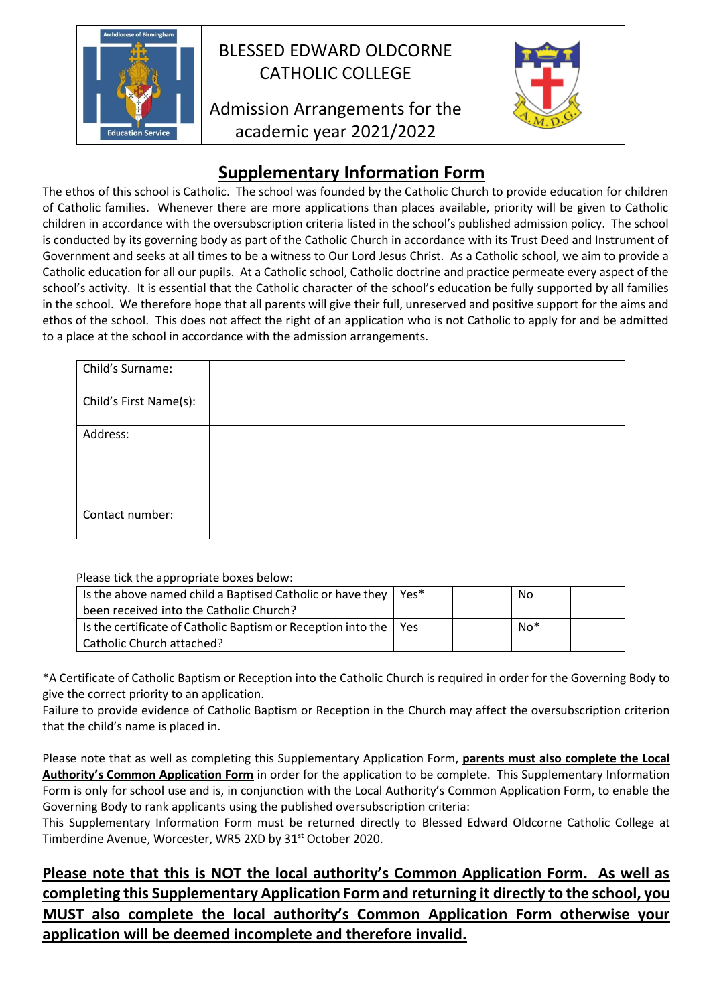

## BLESSED EDWARD OLDCORNE CATHOLIC COLLEGE

## Admission Arrangements for the academic year 2021/2022



## **Supplementary Information Form**

The ethos of this school is Catholic. The school was founded by the Catholic Church to provide education for children of Catholic families. Whenever there are more applications than places available, priority will be given to Catholic children in accordance with the oversubscription criteria listed in the school's published admission policy. The school is conducted by its governing body as part of the Catholic Church in accordance with its Trust Deed and Instrument of Government and seeks at all times to be a witness to Our Lord Jesus Christ. As a Catholic school, we aim to provide a Catholic education for all our pupils. At a Catholic school, Catholic doctrine and practice permeate every aspect of the school's activity. It is essential that the Catholic character of the school's education be fully supported by all families in the school. We therefore hope that all parents will give their full, unreserved and positive support for the aims and ethos of the school. This does not affect the right of an application who is not Catholic to apply for and be admitted to a place at the school in accordance with the admission arrangements.

| Child's Surname:       |  |
|------------------------|--|
| Child's First Name(s): |  |
| Address:               |  |
| Contact number:        |  |

Please tick the appropriate boxes below:

| Is the above named child a Baptised Catholic or have they                | Yes* | No    |  |
|--------------------------------------------------------------------------|------|-------|--|
| been received into the Catholic Church?                                  |      |       |  |
| Is the certificate of Catholic Baptism or Reception into the $\vert$ Yes |      | $No*$ |  |
| Catholic Church attached?                                                |      |       |  |

\*A Certificate of Catholic Baptism or Reception into the Catholic Church is required in order for the Governing Body to give the correct priority to an application.

Failure to provide evidence of Catholic Baptism or Reception in the Church may affect the oversubscription criterion that the child's name is placed in.

Please note that as well as completing this Supplementary Application Form, **parents must also complete the Local Authority's Common Application Form** in order for the application to be complete. This Supplementary Information Form is only for school use and is, in conjunction with the Local Authority's Common Application Form, to enable the Governing Body to rank applicants using the published oversubscription criteria:

This Supplementary Information Form must be returned directly to Blessed Edward Oldcorne Catholic College at Timberdine Avenue, Worcester, WR5 2XD by 31<sup>st</sup> October 2020.

**Please note that this is NOT the local authority's Common Application Form. As well as completing this Supplementary Application Form and returning it directly to the school, you MUST also complete the local authority's Common Application Form otherwise your application will be deemed incomplete and therefore invalid.**